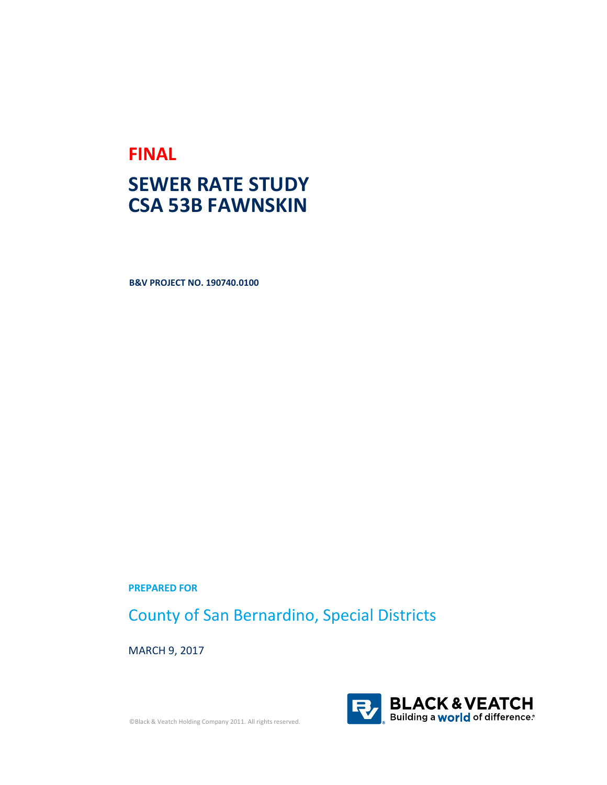# **FINAL**

# **SEWER RATE STUDY CSA 53B FAWNSKIN**

**B&V PROJECT NO. 190740.0100**

**PREPARED FOR**

County of San Bernardino, Special Districts

MARCH 9, 2017



©Black & Veatch Holding Company 2011. All rights reserved.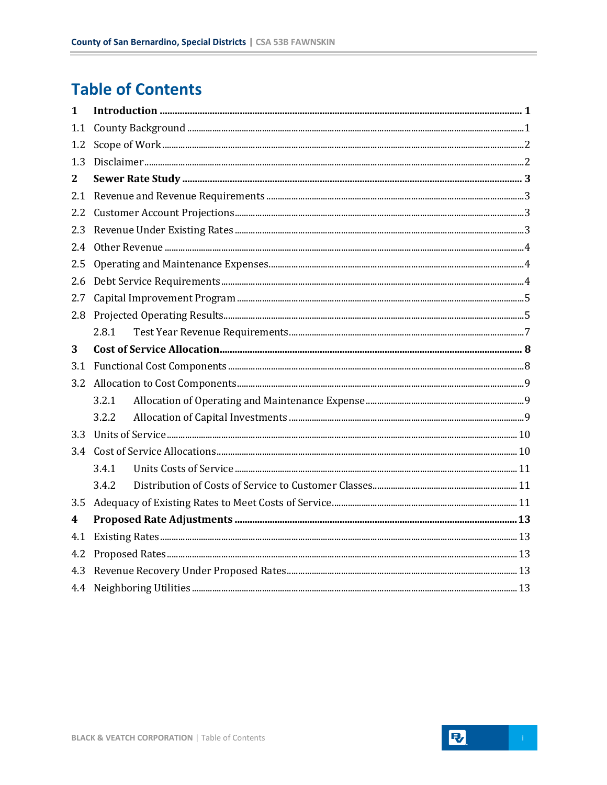# **Table of Contents**

÷

| $\mathbf{1}$ |       |  |  |  |  |  |
|--------------|-------|--|--|--|--|--|
| 1.1          |       |  |  |  |  |  |
| 1.2          |       |  |  |  |  |  |
| 1.3          |       |  |  |  |  |  |
| 2            |       |  |  |  |  |  |
| 2.1          |       |  |  |  |  |  |
| 2.2          |       |  |  |  |  |  |
| 2.3          |       |  |  |  |  |  |
| 2.4          |       |  |  |  |  |  |
| 2.5          |       |  |  |  |  |  |
| 2.6          |       |  |  |  |  |  |
| 2.7          |       |  |  |  |  |  |
| 2.8          |       |  |  |  |  |  |
|              | 2.8.1 |  |  |  |  |  |
| 3            |       |  |  |  |  |  |
| 3.1          |       |  |  |  |  |  |
| 3.2          |       |  |  |  |  |  |
|              | 3.2.1 |  |  |  |  |  |
|              | 3.2.2 |  |  |  |  |  |
| 3.3          |       |  |  |  |  |  |
|              |       |  |  |  |  |  |
|              | 3.4.1 |  |  |  |  |  |
|              | 3.4.2 |  |  |  |  |  |
| 3.5          |       |  |  |  |  |  |
| 4            |       |  |  |  |  |  |
| 4.1          |       |  |  |  |  |  |
| 4.2          |       |  |  |  |  |  |
| 4.3          |       |  |  |  |  |  |
|              |       |  |  |  |  |  |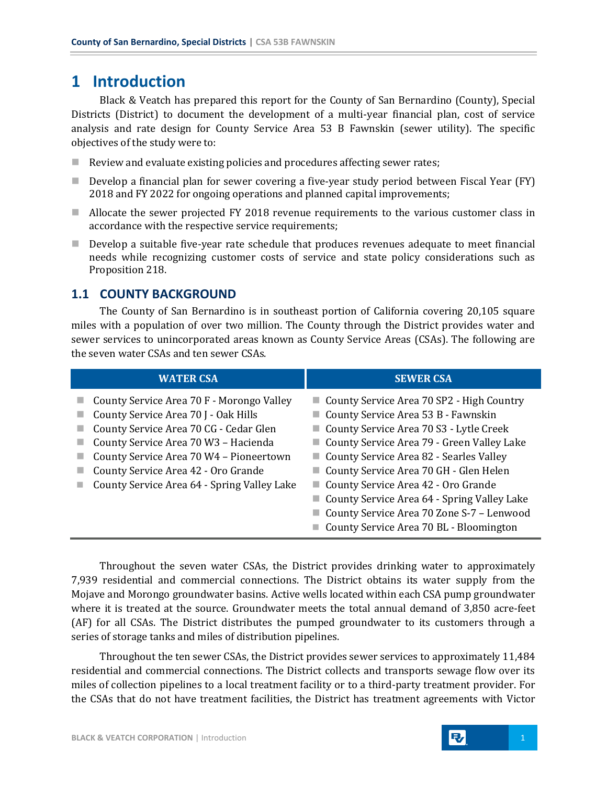## <span id="page-4-0"></span>**1 Introduction**

Black & Veatch has prepared this report for the County of San Bernardino (County), Special Districts (District) to document the development of a multi-year financial plan, cost of service analysis and rate design for County Service Area 53 B Fawnskin (sewer utility). The specific objectives of the study were to:

- Review and evaluate existing policies and procedures affecting sewer rates;
- Develop a financial plan for sewer covering a five-year study period between Fiscal Year (FY) 2018 and FY 2022 for ongoing operations and planned capital improvements;
- Allocate the sewer projected FY 2018 revenue requirements to the various customer class in accordance with the respective service requirements;
- **Develop a suitable five-year rate schedule that produces revenues adequate to meet financial** needs while recognizing customer costs of service and state policy considerations such as Proposition 218.

## <span id="page-4-1"></span>**1.1 COUNTY BACKGROUND**

The County of San Bernardino is in southeast portion of California covering 20,105 square miles with a population of over two million. The County through the District provides water and sewer services to unincorporated areas known as County Service Areas (CSAs). The following are the seven water CSAs and ten sewer CSAs.

| <b>WATER CSA</b>                                                                                                                                                                                                                                                                                     | <b>SEWER CSA</b>                                                                                                                                                                                                                                                                                                                                                                                                                             |
|------------------------------------------------------------------------------------------------------------------------------------------------------------------------------------------------------------------------------------------------------------------------------------------------------|----------------------------------------------------------------------------------------------------------------------------------------------------------------------------------------------------------------------------------------------------------------------------------------------------------------------------------------------------------------------------------------------------------------------------------------------|
| County Service Area 70 F - Morongo Valley<br>County Service Area 70 J - Oak Hills<br>County Service Area 70 CG - Cedar Glen<br>County Service Area 70 W3 - Hacienda<br>County Service Area 70 W4 - Pioneertown<br>County Service Area 42 - Oro Grande<br>County Service Area 64 - Spring Valley Lake | County Service Area 70 SP2 - High Country<br>County Service Area 53 B - Fawnskin<br>County Service Area 70 S3 - Lytle Creek<br>County Service Area 79 - Green Valley Lake<br>County Service Area 82 - Searles Valley<br>County Service Area 70 GH - Glen Helen<br>County Service Area 42 - Oro Grande<br>County Service Area 64 - Spring Valley Lake<br>County Service Area 70 Zone S-7 - Lenwood<br>County Service Area 70 BL - Bloomington |

Throughout the seven water CSAs, the District provides drinking water to approximately 7,939 residential and commercial connections. The District obtains its water supply from the Mojave and Morongo groundwater basins. Active wells located within each CSA pump groundwater where it is treated at the source. Groundwater meets the total annual demand of 3,850 acre-feet (AF) for all CSAs. The District distributes the pumped groundwater to its customers through a series of storage tanks and miles of distribution pipelines.

Throughout the ten sewer CSAs, the District provides sewer services to approximately 11,484 residential and commercial connections. The District collects and transports sewage flow over its miles of collection pipelines to a local treatment facility or to a third-party treatment provider. For the CSAs that do not have treatment facilities, the District has treatment agreements with Victor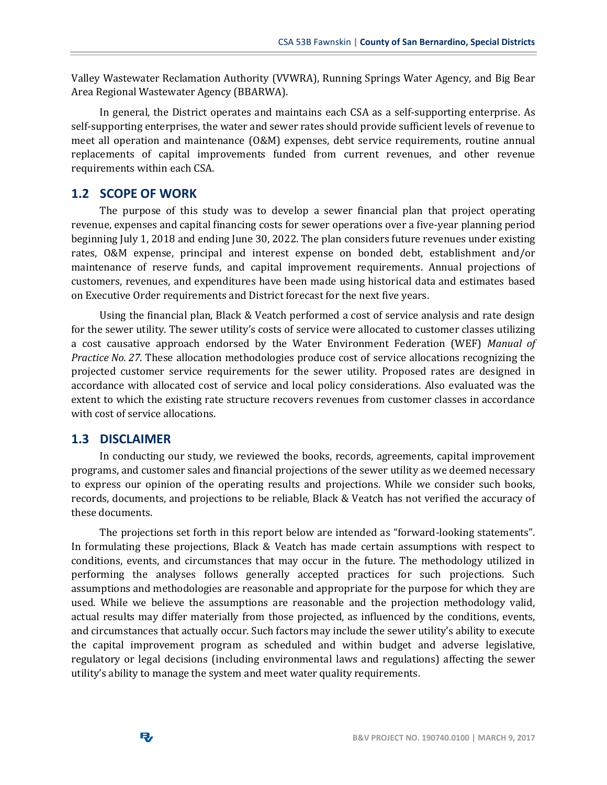Valley Wastewater Reclamation Authority (VVWRA), Running Springs Water Agency, and Big Bear Area Regional Wastewater Agency (BBARWA).

In general, the District operates and maintains each CSA as a self-supporting enterprise. As self-supporting enterprises, the water and sewer rates should provide sufficient levels of revenue to meet all operation and maintenance (O&M) expenses, debt service requirements, routine annual replacements of capital improvements funded from current revenues, and other revenue requirements within each CSA.

#### <span id="page-5-0"></span>**1.2 SCOPE OF WORK**

The purpose of this study was to develop a sewer financial plan that project operating revenue, expenses and capital financing costs for sewer operations over a five-year planning period beginning July 1, 2018 and ending June 30, 2022. The plan considers future revenues under existing rates, O&M expense, principal and interest expense on bonded debt, establishment and/or maintenance of reserve funds, and capital improvement requirements. Annual projections of customers, revenues, and expenditures have been made using historical data and estimates based on Executive Order requirements and District forecast for the next five years.

Using the financial plan, Black & Veatch performed a cost of service analysis and rate design for the sewer utility. The sewer utility's costs of service were allocated to customer classes utilizing a cost causative approach endorsed by the Water Environment Federation (WEF) *Manual of Practice No. 27*. These allocation methodologies produce cost of service allocations recognizing the projected customer service requirements for the sewer utility. Proposed rates are designed in accordance with allocated cost of service and local policy considerations. Also evaluated was the extent to which the existing rate structure recovers revenues from customer classes in accordance with cost of service allocations.

#### <span id="page-5-1"></span>**1.3 DISCLAIMER**

In conducting our study, we reviewed the books, records, agreements, capital improvement programs, and customer sales and financial projections of the sewer utility as we deemed necessary to express our opinion of the operating results and projections. While we consider such books, records, documents, and projections to be reliable, Black & Veatch has not verified the accuracy of these documents.

The projections set forth in this report below are intended as "forward-looking statements". In formulating these projections, Black & Veatch has made certain assumptions with respect to conditions, events, and circumstances that may occur in the future. The methodology utilized in performing the analyses follows generally accepted practices for such projections. Such assumptions and methodologies are reasonable and appropriate for the purpose for which they are used. While we believe the assumptions are reasonable and the projection methodology valid, actual results may differ materially from those projected, as influenced by the conditions, events, and circumstances that actually occur. Such factors may include the sewer utility's ability to execute the capital improvement program as scheduled and within budget and adverse legislative, regulatory or legal decisions (including environmental laws and regulations) affecting the sewer utility's ability to manage the system and meet water quality requirements.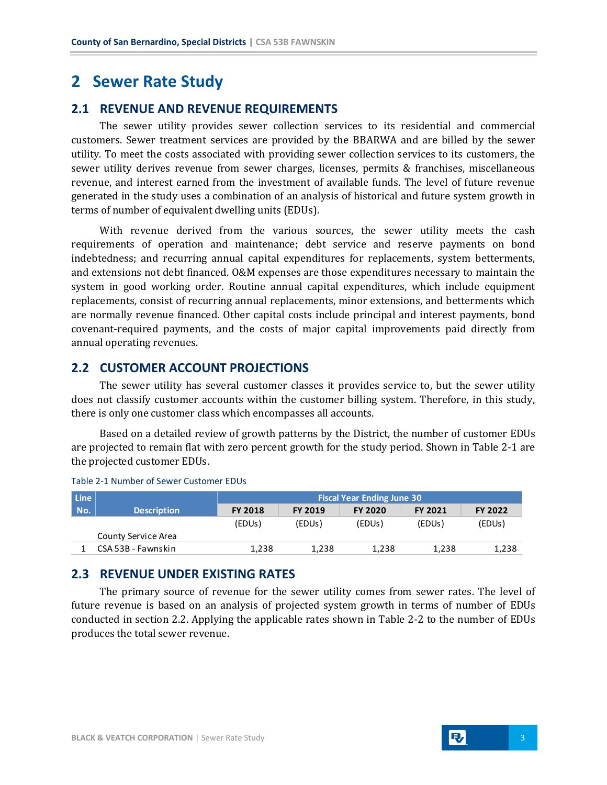## <span id="page-6-0"></span>**2 Sewer Rate Study**

## <span id="page-6-1"></span>**2.1 REVENUE AND REVENUE REQUIREMENTS**

The sewer utility provides sewer collection services to its residential and commercial customers. Sewer treatment services are provided by the BBARWA and are billed by the sewer utility. To meet the costs associated with providing sewer collection services to its customers, the sewer utility derives revenue from sewer charges, licenses, permits & franchises, miscellaneous revenue, and interest earned from the investment of available funds. The level of future revenue generated in the study uses a combination of an analysis of historical and future system growth in terms of number of equivalent dwelling units (EDUs).

With revenue derived from the various sources, the sewer utility meets the cash requirements of operation and maintenance; debt service and reserve payments on bond indebtedness; and recurring annual capital expenditures for replacements, system betterments, and extensions not debt financed. O&M expenses are those expenditures necessary to maintain the system in good working order. Routine annual capital expenditures, which include equipment replacements, consist of recurring annual replacements, minor extensions, and betterments which are normally revenue financed. Other capital costs include principal and interest payments, bond covenant-required payments, and the costs of major capital improvements paid directly from annual operating revenues.

## <span id="page-6-2"></span>**2.2 CUSTOMER ACCOUNT PROJECTIONS**

The sewer utility has several customer classes it provides service to, but the sewer utility does not classify customer accounts within the customer billing system. Therefore, in this study, there is only one customer class which encompasses all accounts.

Based on a detailed review of growth patterns by the District, the number of customer EDUs are projected to remain flat with zero percent growth for the study period. Shown in Table 2-1 are the projected customer EDUs.

| Line |                     | <b>Fiscal Year Ending June 30</b> |                |                |                |         |
|------|---------------------|-----------------------------------|----------------|----------------|----------------|---------|
| No.  | <b>Description</b>  | <b>FY 2018</b>                    | <b>FY 2019</b> | <b>FY 2020</b> | <b>FY 2021</b> | FY 2022 |
|      |                     | (EDUs)                            | (EDUs)         | (EDUs)         | (EDUs)         | (EDUs)  |
|      | County Service Area |                                   |                |                |                |         |
|      | CSA 53B - Fawnskin  | 1,238                             | 1,238          | 1,238          | 1,238          | 1,238   |

#### Table 2-1 Number of Sewer Customer EDUs

### <span id="page-6-3"></span>**2.3 REVENUE UNDER EXISTING RATES**

The primary source of revenue for the sewer utility comes from sewer rates. The level of future revenue is based on an analysis of projected system growth in terms of number of EDUs conducted in section 2.2. Applying the applicable rates shown in Table 2-2 to the number of EDUs produces the total sewer revenue.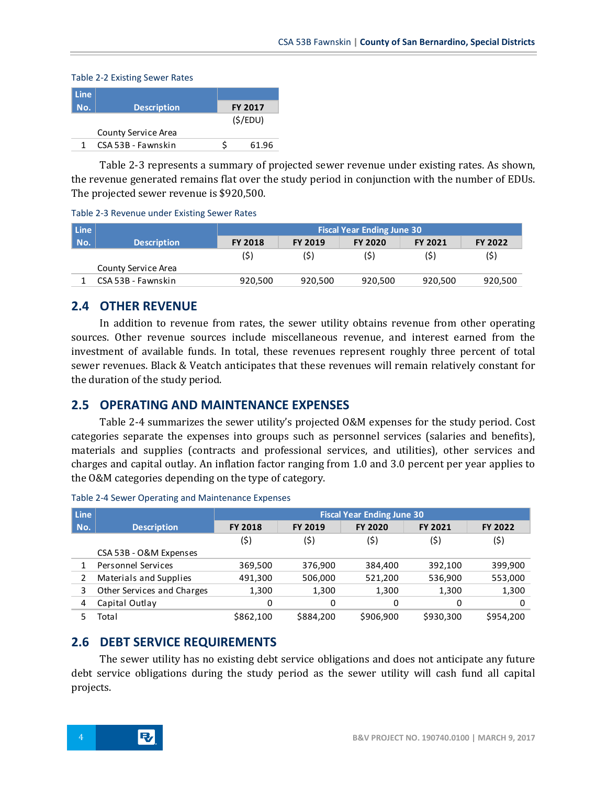| <b>Line</b> |                     |                |         |  |  |  |  |  |  |
|-------------|---------------------|----------------|---------|--|--|--|--|--|--|
| No.         | <b>Description</b>  | <b>FY 2017</b> |         |  |  |  |  |  |  |
|             |                     |                | (S/EDU) |  |  |  |  |  |  |
|             | County Service Area |                |         |  |  |  |  |  |  |
|             | CSA 53B - Fawnskin  |                | 61.96   |  |  |  |  |  |  |

Table 2-3 represents a summary of projected sewer revenue under existing rates. As shown, the revenue generated remains flat over the study period in conjunction with the number of EDUs. The projected sewer revenue is \$920,500.

Table 2-3 Revenue under Existing Sewer Rates

| Line |                     | <b>Fiscal Year Ending June 30</b> |                |                |                |         |
|------|---------------------|-----------------------------------|----------------|----------------|----------------|---------|
| No.  | <b>Description</b>  | <b>FY 2018</b>                    | <b>FY 2019</b> | <b>FY 2020</b> | <b>FY 2021</b> | FY 2022 |
|      |                     | (\$)                              | (\$)           | (\$)           | (\$)           | (\$)    |
|      | County Service Area |                                   |                |                |                |         |
|      | CSA 53B - Fawnskin  | 920,500                           | 920,500        | 920,500        | 920,500        | 920,500 |

## <span id="page-7-0"></span>**2.4 OTHER REVENUE**

Table 2-2 Existing Sewer Rates

In addition to revenue from rates, the sewer utility obtains revenue from other operating sources. Other revenue sources include miscellaneous revenue, and interest earned from the investment of available funds. In total, these revenues represent roughly three percent of total sewer revenues. Black & Veatch anticipates that these revenues will remain relatively constant for the duration of the study period.

## <span id="page-7-1"></span>**2.5 OPERATING AND MAINTENANCE EXPENSES**

Table 2-4 summarizes the sewer utility's projected O&M expenses for the study period. Cost categories separate the expenses into groups such as personnel services (salaries and benefits), materials and supplies (contracts and professional services, and utilities), other services and charges and capital outlay. An inflation factor ranging from 1.0 and 3.0 percent per year applies to the O&M categories depending on the type of category.

| <b>Line</b> |                            | <b>Fiscal Year Ending June 30</b> |                |                |                |           |  |
|-------------|----------------------------|-----------------------------------|----------------|----------------|----------------|-----------|--|
| No.         | <b>Description</b>         | <b>FY 2018</b>                    | <b>FY 2019</b> | <b>FY 2020</b> | <b>FY 2021</b> | FY 2022   |  |
|             |                            | (5)                               | (\$)           | (\$)           | (\$)           | (\$)      |  |
|             | CSA 53B - O&M Expenses     |                                   |                |                |                |           |  |
|             | <b>Personnel Services</b>  | 369,500                           | 376,900        | 384,400        | 392,100        | 399,900   |  |
|             | Materials and Supplies     | 491,300                           | 506,000        | 521,200        | 536,900        | 553,000   |  |
| 3           | Other Services and Charges | 1,300                             | 1,300          | 1,300          | 1,300          | 1,300     |  |
| 4           | Capital Outlay             | 0                                 | 0              | 0              | 0              | 0         |  |
|             | Total                      | \$862,100                         | \$884,200      | \$906,900      | \$930,300      | \$954,200 |  |

#### Table 2-4 Sewer Operating and Maintenance Expenses

## <span id="page-7-2"></span>**2.6 DEBT SERVICE REQUIREMENTS**

The sewer utility has no existing debt service obligations and does not anticipate any future debt service obligations during the study period as the sewer utility will cash fund all capital projects.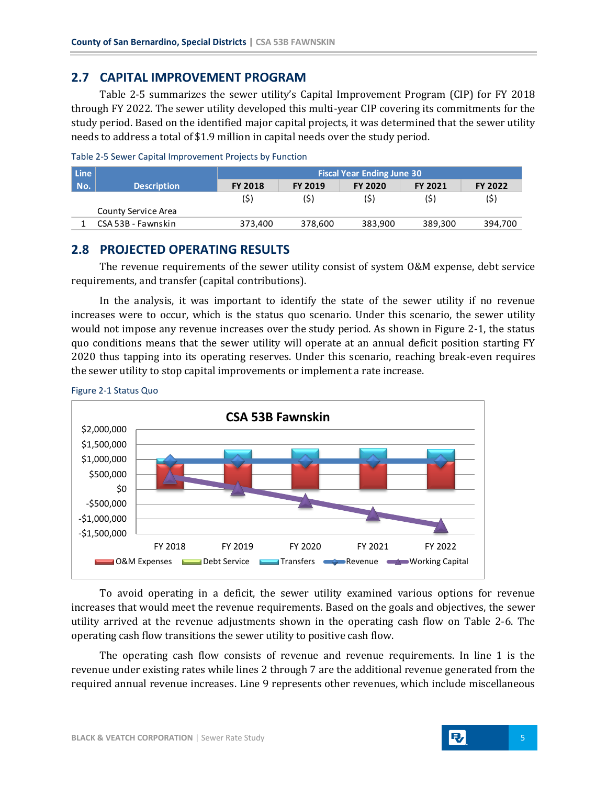## <span id="page-8-0"></span>**2.7 CAPITAL IMPROVEMENT PROGRAM**

Table 2-5 summarizes the sewer utility's Capital Improvement Program (CIP) for FY 2018 through FY 2022. The sewer utility developed this multi-year CIP covering its commitments for the study period. Based on the identified major capital projects, it was determined that the sewer utility needs to address a total of \$1.9 million in capital needs over the study period.

| Line |                     | <b>Fiscal Year Ending June 30</b> |                |                |                |         |
|------|---------------------|-----------------------------------|----------------|----------------|----------------|---------|
| No.  | <b>Description</b>  | <b>FY 2018</b>                    | <b>FY 2019</b> | <b>FY 2020</b> | <b>FY 2021</b> | FY 2022 |
|      |                     | (\$)                              | (\$)           | (\$)           | (\$)           | (\$)    |
|      | County Service Area |                                   |                |                |                |         |
|      | CSA 53B - Fawnskin  | 373.400                           | 378,600        | 383.900        | 389.300        | 394,700 |

| Table 2-5 Sewer Capital Improvement Projects by Function |  |  |  |  |
|----------------------------------------------------------|--|--|--|--|
|----------------------------------------------------------|--|--|--|--|

### <span id="page-8-1"></span>**2.8 PROJECTED OPERATING RESULTS**

The revenue requirements of the sewer utility consist of system O&M expense, debt service requirements, and transfer (capital contributions).

In the analysis, it was important to identify the state of the sewer utility if no revenue increases were to occur, which is the status quo scenario. Under this scenario, the sewer utility would not impose any revenue increases over the study period. As shown in Figure 2-1, the status quo conditions means that the sewer utility will operate at an annual deficit position starting FY 2020 thus tapping into its operating reserves. Under this scenario, reaching break-even requires the sewer utility to stop capital improvements or implement a rate increase.





To avoid operating in a deficit, the sewer utility examined various options for revenue increases that would meet the revenue requirements. Based on the goals and objectives, the sewer utility arrived at the revenue adjustments shown in the operating cash flow on Table 2-6. The operating cash flow transitions the sewer utility to positive cash flow.

The operating cash flow consists of revenue and revenue requirements. In line 1 is the revenue under existing rates while lines 2 through 7 are the additional revenue generated from the required annual revenue increases. Line 9 represents other revenues, which include miscellaneous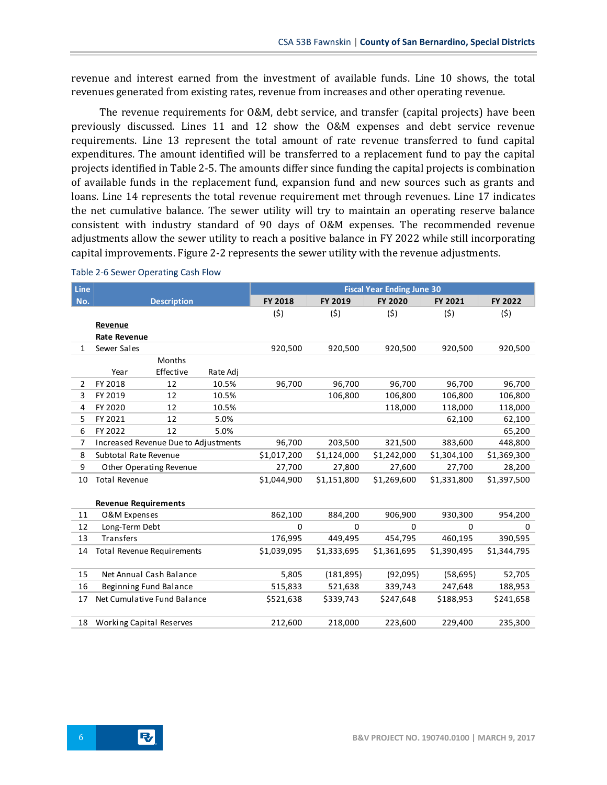revenue and interest earned from the investment of available funds. Line 10 shows, the total revenues generated from existing rates, revenue from increases and other operating revenue.

The revenue requirements for O&M, debt service, and transfer (capital projects) have been previously discussed. Lines 11 and 12 show the O&M expenses and debt service revenue requirements. Line 13 represent the total amount of rate revenue transferred to fund capital expenditures. The amount identified will be transferred to a replacement fund to pay the capital projects identified in Table 2-5. The amounts differ since funding the capital projects is combination of available funds in the replacement fund, expansion fund and new sources such as grants and loans. Line 14 represents the total revenue requirement met through revenues. Line 17 indicates the net cumulative balance. The sewer utility will try to maintain an operating reserve balance consistent with industry standard of 90 days of O&M expenses. The recommended revenue adjustments allow the sewer utility to reach a positive balance in FY 2022 while still incorporating capital improvements. Figure 2-2 represents the sewer utility with the revenue adjustments.

| <b>Line</b>    |                                 |                                      |          |                |             | <b>Fiscal Year Ending June 30</b> |                |                |
|----------------|---------------------------------|--------------------------------------|----------|----------------|-------------|-----------------------------------|----------------|----------------|
| No.            |                                 | <b>Description</b>                   |          | <b>FY 2018</b> | FY 2019     | <b>FY 2020</b>                    | <b>FY 2021</b> | <b>FY 2022</b> |
|                |                                 |                                      |          | (5)            | (5)         | (5)                               | (5)            | (5)            |
|                | Revenue                         |                                      |          |                |             |                                   |                |                |
|                | <b>Rate Revenue</b>             |                                      |          |                |             |                                   |                |                |
| $\mathbf{1}$   | Sewer Sales                     |                                      |          | 920,500        | 920,500     | 920,500                           | 920,500        | 920,500        |
|                |                                 | <b>Months</b>                        |          |                |             |                                   |                |                |
|                | Year                            | Effective                            | Rate Adj |                |             |                                   |                |                |
| $\overline{2}$ | FY 2018                         | 12                                   | 10.5%    | 96,700         | 96,700      | 96,700                            | 96,700         | 96,700         |
| 3              | FY 2019                         | 12                                   | 10.5%    |                | 106,800     | 106,800                           | 106,800        | 106,800        |
| 4              | FY 2020                         | 12                                   | 10.5%    |                |             | 118,000                           | 118,000        | 118,000        |
| 5              | FY 2021                         | 12                                   | 5.0%     |                |             |                                   | 62,100         | 62,100         |
| 6              | FY 2022                         | 12                                   | 5.0%     |                |             |                                   |                | 65,200         |
| 7              |                                 | Increased Revenue Due to Adjustments |          | 96,700         | 203,500     | 321,500                           | 383,600        | 448,800        |
| 8              | Subtotal Rate Revenue           |                                      |          | \$1,017,200    | \$1,124,000 | \$1,242,000                       | \$1,304,100    | \$1,369,300    |
| 9              |                                 | Other Operating Revenue              |          | 27,700         | 27,800      | 27,600                            | 27,700         | 28,200         |
| 10             | <b>Total Revenue</b>            |                                      |          | \$1,044,900    | \$1,151,800 | \$1,269,600                       | \$1,331,800    | \$1,397,500    |
|                |                                 |                                      |          |                |             |                                   |                |                |
|                | <b>Revenue Requirements</b>     |                                      |          |                |             |                                   |                |                |
| 11             | O&M Expenses                    |                                      |          | 862,100        | 884,200     | 906,900                           | 930,300        | 954,200        |
| 12             | Long-Term Debt                  |                                      |          | $\Omega$       | 0           | 0                                 | $\Omega$       | 0              |
| 13             | <b>Transfers</b>                |                                      |          | 176,995        | 449,495     | 454,795                           | 460,195        | 390,595        |
| 14             |                                 | <b>Total Revenue Requirements</b>    |          | \$1,039,095    | \$1,333,695 | \$1,361,695                       | \$1,390,495    | \$1,344,795    |
|                |                                 |                                      |          |                |             |                                   |                |                |
| 15             |                                 | Net Annual Cash Balance              |          | 5,805          | (181, 895)  | (92,095)                          | (58, 695)      | 52,705         |
| 16             |                                 | Beginning Fund Balance               |          | 515,833        | 521,638     | 339,743                           | 247,648        | 188,953        |
| 17             |                                 | Net Cumulative Fund Balance          |          | \$521,638      | \$339,743   | \$247,648                         | \$188,953      | \$241,658      |
|                |                                 |                                      |          |                |             |                                   |                |                |
| 18             | <b>Working Capital Reserves</b> |                                      |          | 212,600        | 218,000     | 223,600                           | 229,400        | 235,300        |
|                |                                 |                                      |          |                |             |                                   |                |                |

#### Table 2-6 Sewer Operating Cash Flow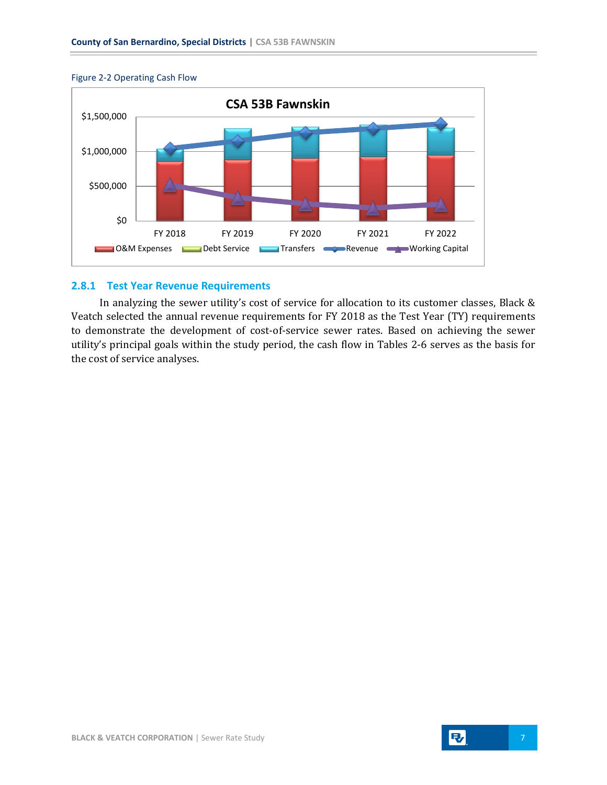



#### <span id="page-10-0"></span>**2.8.1 Test Year Revenue Requirements**

In analyzing the sewer utility's cost of service for allocation to its customer classes, Black & Veatch selected the annual revenue requirements for FY 2018 as the Test Year (TY) requirements to demonstrate the development of cost-of-service sewer rates. Based on achieving the sewer utility's principal goals within the study period, the cash flow in Tables 2-6 serves as the basis for the cost of service analyses.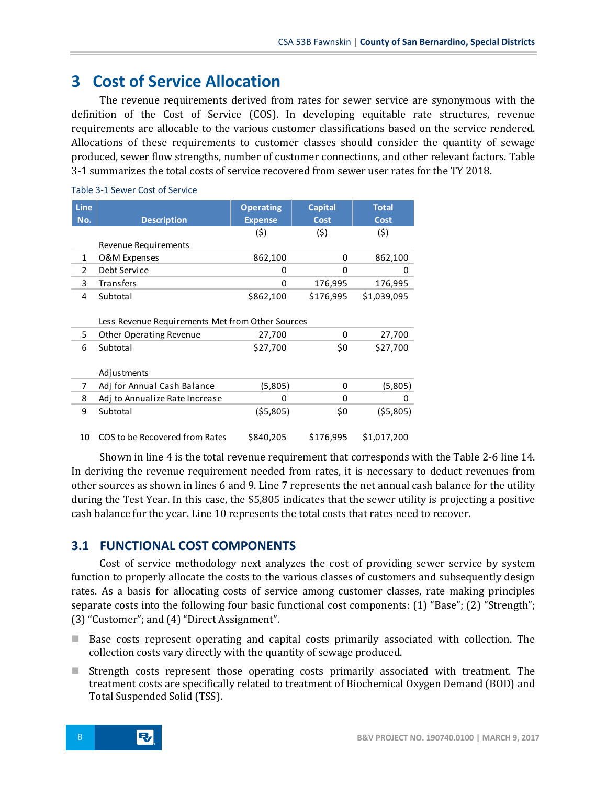# <span id="page-11-0"></span>**3 Cost of Service Allocation**

The revenue requirements derived from rates for sewer service are synonymous with the definition of the Cost of Service (COS). In developing equitable rate structures, revenue requirements are allocable to the various customer classifications based on the service rendered. Allocations of these requirements to customer classes should consider the quantity of sewage produced, sewer flow strengths, number of customer connections, and other relevant factors. Table 3-1 summarizes the total costs of service recovered from sewer user rates for the TY 2018.

| <b>Line</b>   |                                                  | <b>Operating</b> | <b>Capital</b> | <b>Total</b> |
|---------------|--------------------------------------------------|------------------|----------------|--------------|
| No.           | <b>Description</b>                               | <b>Expense</b>   | <b>Cost</b>    | <b>Cost</b>  |
|               |                                                  | (5)              | (5)            | (5)          |
|               | Revenue Requirements                             |                  |                |              |
| $\mathbf{1}$  | O&M Expenses                                     | 862,100          | 0              | 862,100      |
| $\mathcal{P}$ | Debt Service                                     | 0                | 0              | 0            |
| 3             | Transfers                                        | 0                | 176,995        | 176,995      |
| 4             | Subtotal                                         | \$862,100        | \$176,995      | \$1,039,095  |
|               |                                                  |                  |                |              |
|               | Less Revenue Requirements Met from Other Sources |                  |                |              |
| 5             | Other Operating Revenue                          | 27,700           | 0              | 27,700       |
| 6             | Subtotal                                         | \$27,700         |                | \$27,700     |
|               |                                                  |                  |                |              |
|               | Adjustments                                      |                  |                |              |
| 7             | Adj for Annual Cash Balance                      | (5,805)          | 0              | (5,805)      |
| 8             | Adj to Annualize Rate Increase                   | 0                | 0              | 0            |
| 9             | Subtotal                                         | (55,805)         | \$0            | (55,805)     |
|               |                                                  |                  |                |              |
| 10            | COS to be Recovered from Rates                   | \$840,205        | \$176,995      | \$1,017,200  |
|               |                                                  |                  |                |              |

#### Table 3-1 Sewer Cost of Service

Shown in line 4 is the total revenue requirement that corresponds with the Table 2-6 line 14. In deriving the revenue requirement needed from rates, it is necessary to deduct revenues from other sources as shown in lines 6 and 9. Line 7 represents the net annual cash balance for the utility during the Test Year. In this case, the \$5,805 indicates that the sewer utility is projecting a positive cash balance for the year. Line 10 represents the total costs that rates need to recover.

### <span id="page-11-1"></span>**3.1 FUNCTIONAL COST COMPONENTS**

Cost of service methodology next analyzes the cost of providing sewer service by system function to properly allocate the costs to the various classes of customers and subsequently design rates. As a basis for allocating costs of service among customer classes, rate making principles separate costs into the following four basic functional cost components: (1) "Base"; (2) "Strength"; (3) "Customer"; and (4) "Direct Assignment".

- Base costs represent operating and capital costs primarily associated with collection. The collection costs vary directly with the quantity of sewage produced.
- Strength costs represent those operating costs primarily associated with treatment. The treatment costs are specifically related to treatment of Biochemical Oxygen Demand (BOD) and Total Suspended Solid (TSS).

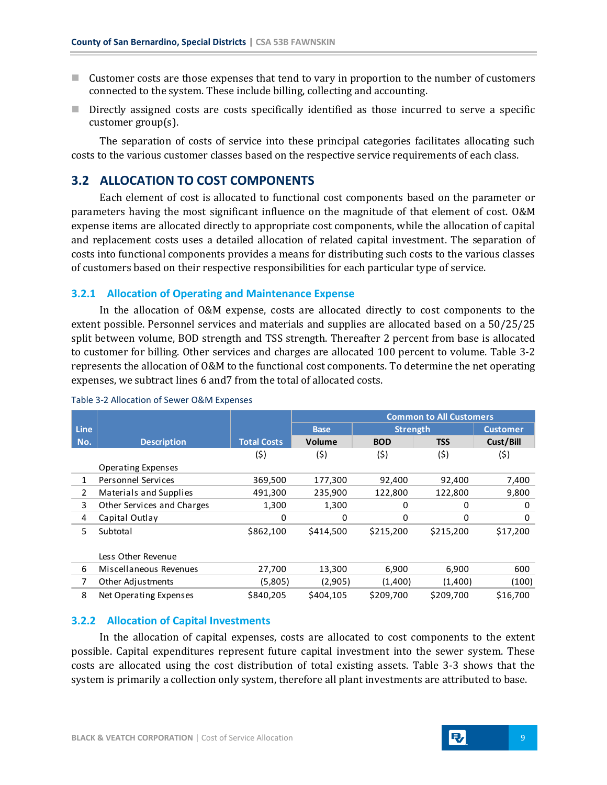- $\blacksquare$  Customer costs are those expenses that tend to vary in proportion to the number of customers connected to the system. These include billing, collecting and accounting.
- **Directly assigned costs are costs specifically identified as those incurred to serve a specific** customer group(s).

The separation of costs of service into these principal categories facilitates allocating such costs to the various customer classes based on the respective service requirements of each class.

#### <span id="page-12-0"></span>**3.2 ALLOCATION TO COST COMPONENTS**

Each element of cost is allocated to functional cost components based on the parameter or parameters having the most significant influence on the magnitude of that element of cost. O&M expense items are allocated directly to appropriate cost components, while the allocation of capital and replacement costs uses a detailed allocation of related capital investment. The separation of costs into functional components provides a means for distributing such costs to the various classes of customers based on their respective responsibilities for each particular type of service.

#### <span id="page-12-1"></span>**3.2.1 Allocation of Operating and Maintenance Expense**

In the allocation of O&M expense, costs are allocated directly to cost components to the extent possible. Personnel services and materials and supplies are allocated based on a 50/25/25 split between volume, BOD strength and TSS strength. Thereafter 2 percent from base is allocated to customer for billing. Other services and charges are allocated 100 percent to volume. Table 3-2 represents the allocation of O&M to the functional cost components. To determine the net operating expenses, we subtract lines 6 and7 from the total of allocated costs.

|             |                            |                    | <b>Common to All Customers</b> |            |                 |                 |
|-------------|----------------------------|--------------------|--------------------------------|------------|-----------------|-----------------|
| <b>Line</b> |                            |                    | <b>Base</b>                    |            | <b>Strength</b> | <b>Customer</b> |
| No.         | <b>Description</b>         | <b>Total Costs</b> | <b>Volume</b>                  | <b>BOD</b> | <b>TSS</b>      | Cust/Bill       |
|             |                            | (5)                | (\$)                           | (5)        | (\$)            | (\$)            |
|             | Operating Expenses         |                    |                                |            |                 |                 |
| 1           | Personnel Services         | 369,500            | 177,300                        | 92,400     | 92,400          | 7,400           |
| 2           | Materials and Supplies     | 491,300            | 235,900                        | 122,800    | 122,800         | 9,800           |
| 3           | Other Services and Charges | 1,300              | 1,300                          | $\Omega$   | 0               | 0               |
| 4           | Capital Outlay             | 0                  | 0                              | $\Omega$   | 0               | $\Omega$        |
| 5.          | Subtotal                   | \$862,100          | \$414,500                      | \$215,200  | \$215,200       | \$17,200        |
|             |                            |                    |                                |            |                 |                 |
|             | Less Other Revenue         |                    |                                |            |                 |                 |
| 6           | Miscellaneous Revenues     | 27,700             | 13,300                         | 6,900      | 6,900           | 600             |
| 7           | Other Adjustments          | (5,805)            | (2,905)                        | (1,400)    | (1,400)         | (100)           |
| 8           | Net Operating Expenses     | \$840,205          | \$404,105                      | \$209,700  | \$209,700       | \$16,700        |

#### Table 3-2 Allocation of Sewer O&M Expenses

#### <span id="page-12-2"></span>**3.2.2 Allocation of Capital Investments**

In the allocation of capital expenses, costs are allocated to cost components to the extent possible. Capital expenditures represent future capital investment into the sewer system. These costs are allocated using the cost distribution of total existing assets. Table 3-3 shows that the system is primarily a collection only system, therefore all plant investments are attributed to base.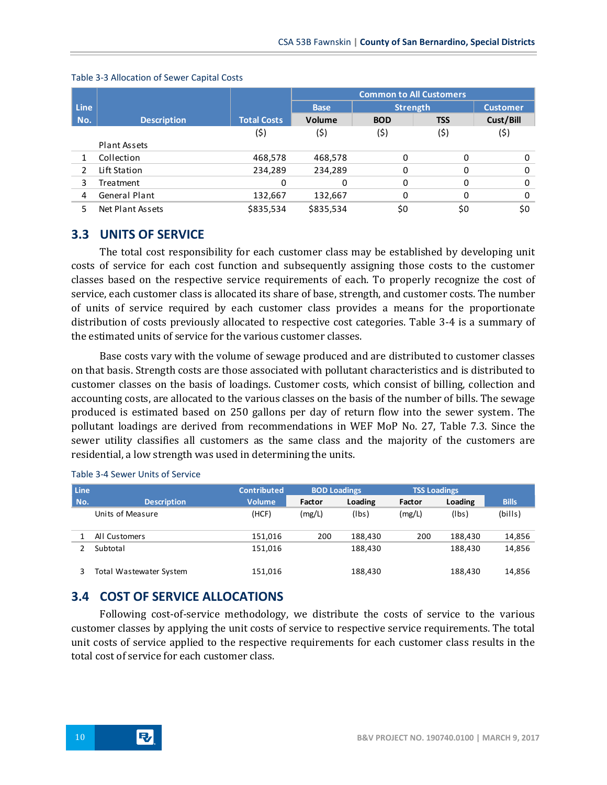|                |                    |                    | <b>Common to All Customers</b> |                 |            |                 |  |
|----------------|--------------------|--------------------|--------------------------------|-----------------|------------|-----------------|--|
| <b>Line</b>    |                    |                    | <b>Base</b>                    | <b>Strength</b> |            | <b>Customer</b> |  |
| No.            | <b>Description</b> | <b>Total Costs</b> | Volume                         | <b>BOD</b>      | <b>TSS</b> | Cust/Bill       |  |
|                |                    | (\$)               | (\$)                           | (\$)            | (\$)       | (\$)            |  |
|                | Plant Assets       |                    |                                |                 |            |                 |  |
|                | Collection         | 468,578            | 468,578                        | $\Omega$        | 0          |                 |  |
| $\mathfrak{p}$ | Lift Station       | 234,289            | 234,289                        | 0               | 0          |                 |  |
| 3              | <b>Treatment</b>   | 0                  | 0                              | $\Omega$        | 0          | 0               |  |
| 4              | General Plant      | 132,667            | 132,667                        | 0               | 0          |                 |  |
| 5              | Net Plant Assets   | \$835,534          | \$835,534                      | \$0             | \$0        | \$0             |  |
|                |                    |                    |                                |                 |            |                 |  |

#### Table 3-3 Allocation of Sewer Capital Costs

## <span id="page-13-0"></span>**3.3 UNITS OF SERVICE**

The total cost responsibility for each customer class may be established by developing unit costs of service for each cost function and subsequently assigning those costs to the customer classes based on the respective service requirements of each. To properly recognize the cost of service, each customer class is allocated its share of base, strength, and customer costs. The number of units of service required by each customer class provides a means for the proportionate distribution of costs previously allocated to respective cost categories. Table 3-4 is a summary of the estimated units of service for the various customer classes.

Base costs vary with the volume of sewage produced and are distributed to customer classes on that basis. Strength costs are those associated with pollutant characteristics and is distributed to customer classes on the basis of loadings. Customer costs, which consist of billing, collection and accounting costs, are allocated to the various classes on the basis of the number of bills. The sewage produced is estimated based on 250 gallons per day of return flow into the sewer system. The pollutant loadings are derived from recommendations in WEF MoP No. 27, Table 7.3. Since the sewer utility classifies all customers as the same class and the majority of the customers are residential, a low strength was used in determining the units.

| <b>Line</b> |                         | <b>Contributed</b> | <b>BOD Loadings</b> |         | <b>TSS Loadings</b> |         |              |
|-------------|-------------------------|--------------------|---------------------|---------|---------------------|---------|--------------|
| No.         | <b>Description</b>      | <b>Volume</b>      | Factor              | Loading | Factor              | Loading | <b>Bills</b> |
|             | Units of Measure        | (HCF)              | (mg/L)              | (lbs)   | (mg/L)              | (lbs)   | (bills)      |
|             | All Customers           | 151.016            | 200                 | 188.430 | 200                 | 188,430 | 14,856       |
|             | Subtotal                | 151,016            |                     | 188,430 |                     | 188,430 | 14,856       |
|             | Total Wastewater System | 151,016            |                     | 188,430 |                     | 188,430 | 14,856       |

#### Table 3-4 Sewer Units of Service

## <span id="page-13-1"></span>**3.4 COST OF SERVICE ALLOCATIONS**

Following cost-of-service methodology, we distribute the costs of service to the various customer classes by applying the unit costs of service to respective service requirements. The total unit costs of service applied to the respective requirements for each customer class results in the total cost of service for each customer class.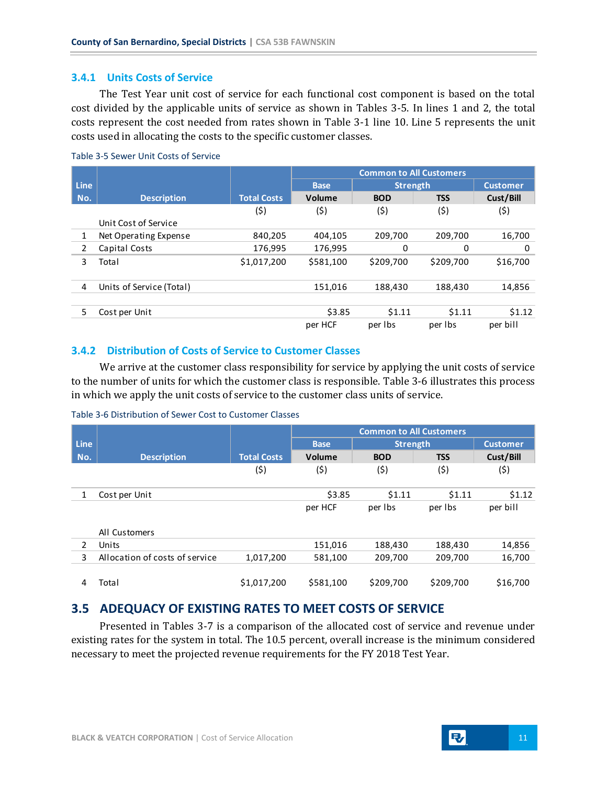#### <span id="page-14-0"></span>**3.4.1 Units Costs of Service**

The Test Year unit cost of service for each functional cost component is based on the total cost divided by the applicable units of service as shown in Tables 3-5. In lines 1 and 2, the total costs represent the cost needed from rates shown in Table 3-1 line 10. Line 5 represents the unit costs used in allocating the costs to the specific customer classes.

|             |                          |                    | <b>Common to All Customers</b> |                 |            |                 |
|-------------|--------------------------|--------------------|--------------------------------|-----------------|------------|-----------------|
| <b>Line</b> |                          |                    | <b>Base</b>                    | <b>Strength</b> |            | <b>Customer</b> |
| No.         | <b>Description</b>       | <b>Total Costs</b> | Volume                         | <b>BOD</b>      | <b>TSS</b> | Cust/Bill       |
|             |                          | (\$)               | (\$)                           | (\$)            | (\$)       | (\$)            |
|             | Unit Cost of Service     |                    |                                |                 |            |                 |
| 1           | Net Operating Expense    | 840,205            | 404.105                        | 209,700         | 209.700    | 16,700          |
| 2           | Capital Costs            | 176,995            | 176,995                        | 0               | 0          | 0               |
| 3           | Total                    | \$1,017,200        | \$581.100                      | \$209,700       | \$209,700  | \$16,700        |
| 4           | Units of Service (Total) |                    | 151,016                        | 188,430         | 188,430    | 14,856          |
| 5           | Cost per Unit            |                    | \$3.85                         | \$1.11          | \$1.11     | \$1.12          |
|             |                          |                    | per HCF                        | per Ibs         | per Ibs    | per bill        |

#### Table 3-5 Sewer Unit Costs of Service

#### <span id="page-14-1"></span>**3.4.2 Distribution of Costs of Service to Customer Classes**

We arrive at the customer class responsibility for service by applying the unit costs of service to the number of units for which the customer class is responsible. Table 3-6 illustrates this process in which we apply the unit costs of service to the customer class units of service.

#### Table 3-6 Distribution of Sewer Cost to Customer Classes

|                |                                |                    | <b>Common to All Customers</b> |                 |            |                 |
|----------------|--------------------------------|--------------------|--------------------------------|-----------------|------------|-----------------|
| <b>Line</b>    |                                |                    | <b>Base</b>                    | <b>Strength</b> |            | <b>Customer</b> |
| No.            | <b>Description</b>             | <b>Total Costs</b> | Volume                         | <b>BOD</b>      | <b>TSS</b> | Cust/Bill       |
|                |                                | (\$)               | (\$)                           | (\$)            | (\$)       | (\$)            |
| 1              | Cost per Unit                  |                    | \$3.85                         | \$1.11          | \$1.11     | \$1.12          |
|                |                                |                    | per HCF                        | per Ibs         | per Ibs    | per bill        |
|                | All Customers                  |                    |                                |                 |            |                 |
| $\overline{2}$ | Units                          |                    | 151,016                        | 188,430         | 188,430    | 14,856          |
| 3              | Allocation of costs of service | 1,017,200          | 581,100                        | 209,700         | 209,700    | 16,700          |
| 4              | Total                          | \$1,017,200        | \$581,100                      | \$209,700       | \$209,700  | \$16,700        |

## <span id="page-14-2"></span>**3.5 ADEQUACY OF EXISTING RATES TO MEET COSTS OF SERVICE**

Presented in Tables 3-7 is a comparison of the allocated cost of service and revenue under existing rates for the system in total. The 10.5 percent, overall increase is the minimum considered necessary to meet the projected revenue requirements for the FY 2018 Test Year.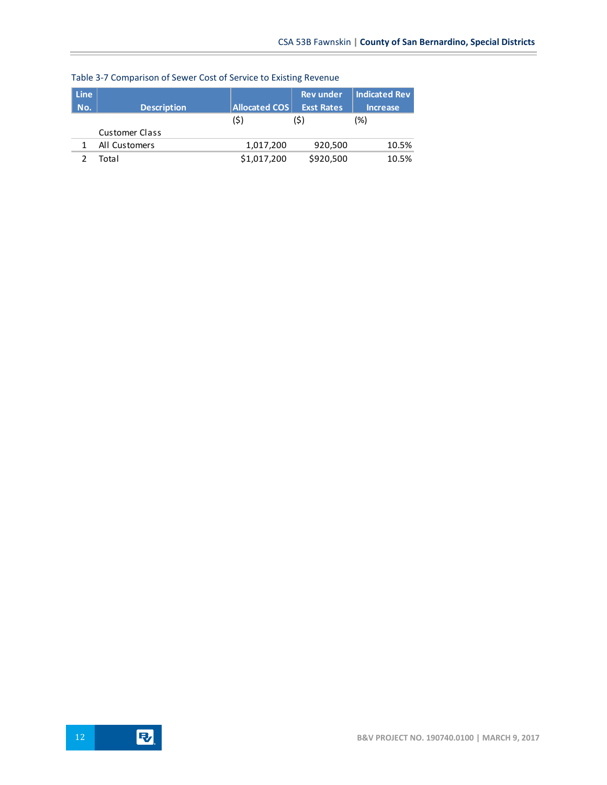| <b>Line</b><br>No. | <b>Description</b>    | <b>Allocated COS</b> | <b>Rev</b> under<br><b>Exst Rates</b> | Indicated Rev<br><b>Increase</b> |
|--------------------|-----------------------|----------------------|---------------------------------------|----------------------------------|
|                    |                       | (\$)                 | (\$)                                  | (%)                              |
|                    | <b>Customer Class</b> |                      |                                       |                                  |
|                    | All Customers         | 1,017,200            | 920,500                               | 10.5%                            |
|                    | Total                 | \$1,017,200          | \$920,500                             | 10.5%                            |

## Table 3-7 Comparison of Sewer Cost of Service to Existing Revenue

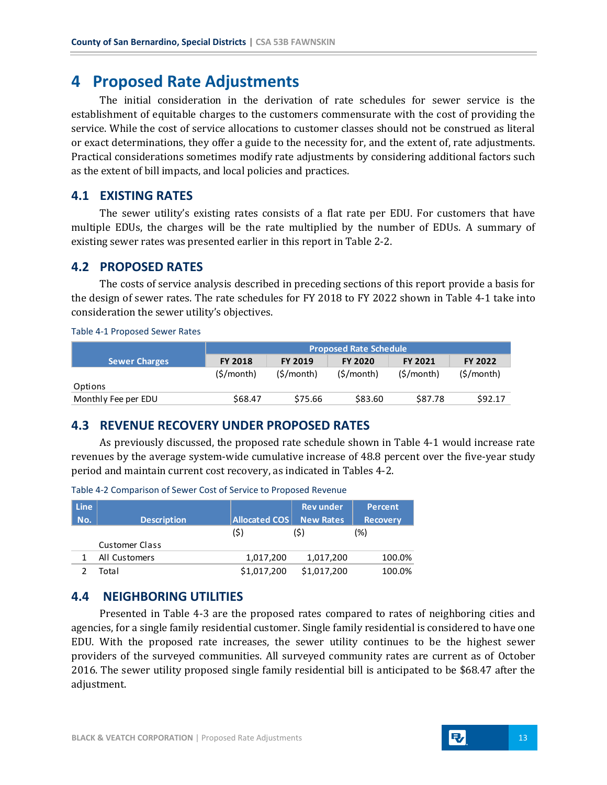## <span id="page-16-0"></span>**4 Proposed Rate Adjustments**

The initial consideration in the derivation of rate schedules for sewer service is the establishment of equitable charges to the customers commensurate with the cost of providing the service. While the cost of service allocations to customer classes should not be construed as literal or exact determinations, they offer a guide to the necessity for, and the extent of, rate adjustments. Practical considerations sometimes modify rate adjustments by considering additional factors such as the extent of bill impacts, and local policies and practices.

#### <span id="page-16-1"></span>**4.1 EXISTING RATES**

The sewer utility's existing rates consists of a flat rate per EDU. For customers that have multiple EDUs, the charges will be the rate multiplied by the number of EDUs. A summary of existing sewer rates was presented earlier in this report in Table 2-2.

#### <span id="page-16-2"></span>**4.2 PROPOSED RATES**

The costs of service analysis described in preceding sections of this report provide a basis for the design of sewer rates. The rate schedules for FY 2018 to FY 2022 shown in Table 4-1 take into consideration the sewer utility's objectives.

Table 4-1 Proposed Sewer Rates

|                      | <b>Proposed Rate Schedule</b> |                |                |                |                |
|----------------------|-------------------------------|----------------|----------------|----------------|----------------|
| <b>Sewer Charges</b> | <b>FY 2018</b>                | <b>FY 2019</b> | <b>FY 2020</b> | <b>FY 2021</b> | <b>FY 2022</b> |
|                      | (S/month)                     | (\$/month)     | (S/month)      | (S/month)      | (S/month)      |
| Options              |                               |                |                |                |                |
| Monthly Fee per EDU  | \$68.47                       | \$75.66        | \$83.60        | \$87.78        | \$92.17        |

### <span id="page-16-3"></span>**4.3 REVENUE RECOVERY UNDER PROPOSED RATES**

As previously discussed, the proposed rate schedule shown in Table 4-1 would increase rate revenues by the average system-wide cumulative increase of 48.8 percent over the five-year study period and maintain current cost recovery, as indicated in Tables 4-2.

| <b>Line</b> |                       |                      | <b>Rev</b> under | <b>Percent</b>  |
|-------------|-----------------------|----------------------|------------------|-----------------|
| No.         | <b>Description</b>    | <b>Allocated COS</b> | <b>New Rates</b> | <b>Recovery</b> |
|             |                       | (\$)                 | (S)              | (%)             |
|             | <b>Customer Class</b> |                      |                  |                 |
|             | All Customers         | 1,017,200            | 1,017,200        | 100.0%          |
|             | Total                 | \$1,017,200          | \$1,017,200      | 100.0%          |

Table 4-2 Comparison of Sewer Cost of Service to Proposed Revenue

## <span id="page-16-4"></span>**4.4 NEIGHBORING UTILITIES**

Presented in Table 4-3 are the proposed rates compared to rates of neighboring cities and agencies, for a single family residential customer. Single family residential is considered to have one EDU. With the proposed rate increases, the sewer utility continues to be the highest sewer providers of the surveyed communities. All surveyed community rates are current as of October 2016. The sewer utility proposed single family residential bill is anticipated to be \$68.47 after the adjustment.